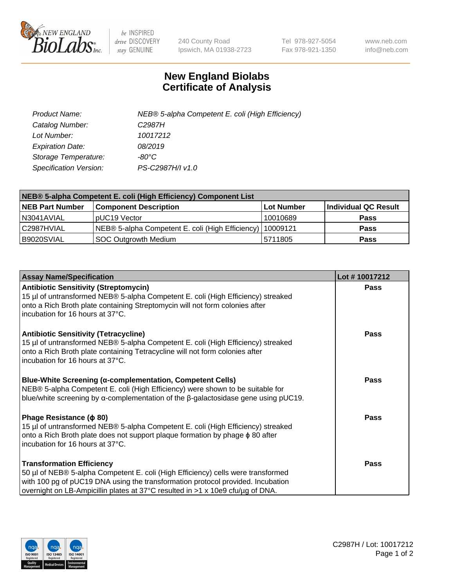

 $be$  INSPIRED drive DISCOVERY stay GENUINE

240 County Road Ipswich, MA 01938-2723 Tel 978-927-5054 Fax 978-921-1350 www.neb.com info@neb.com

## **New England Biolabs Certificate of Analysis**

| Product Name:           | NEB® 5-alpha Competent E. coli (High Efficiency) |
|-------------------------|--------------------------------------------------|
| Catalog Number:         | C <sub>2987</sub> H                              |
| Lot Number:             | 10017212                                         |
| <b>Expiration Date:</b> | 08/2019                                          |
| Storage Temperature:    | -80°C                                            |
| Specification Version:  | PS-C2987H/I v1.0                                 |

| NEB® 5-alpha Competent E. coli (High Efficiency) Component List |                                                             |            |                      |  |
|-----------------------------------------------------------------|-------------------------------------------------------------|------------|----------------------|--|
| <b>NEB Part Number</b>                                          | <b>Component Description</b>                                | Lot Number | Individual QC Result |  |
| N3041AVIAL                                                      | pUC19 Vector                                                | 10010689   | Pass                 |  |
| C2987HVIAL                                                      | NEB® 5-alpha Competent E. coli (High Efficiency)   10009121 |            | <b>Pass</b>          |  |
| B9020SVIAL                                                      | <b>SOC Outgrowth Medium</b>                                 | 5711805    | <b>Pass</b>          |  |

| <b>Assay Name/Specification</b>                                                                                                                                                                                                                                                           | Lot #10017212 |
|-------------------------------------------------------------------------------------------------------------------------------------------------------------------------------------------------------------------------------------------------------------------------------------------|---------------|
| <b>Antibiotic Sensitivity (Streptomycin)</b><br>15 µl of untransformed NEB® 5-alpha Competent E. coli (High Efficiency) streaked<br>onto a Rich Broth plate containing Streptomycin will not form colonies after<br>incubation for 16 hours at 37°C.                                      | <b>Pass</b>   |
| <b>Antibiotic Sensitivity (Tetracycline)</b><br>15 µl of untransformed NEB® 5-alpha Competent E. coli (High Efficiency) streaked<br>onto a Rich Broth plate containing Tetracycline will not form colonies after<br>incubation for 16 hours at 37°C.                                      | Pass          |
| <b>Blue-White Screening (α-complementation, Competent Cells)</b><br>NEB® 5-alpha Competent E. coli (High Efficiency) were shown to be suitable for<br>blue/white screening by $\alpha$ -complementation of the $\beta$ -galactosidase gene using pUC19.                                   | Pass          |
| Phage Resistance ( $\phi$ 80)<br>15 µl of untransformed NEB® 5-alpha Competent E. coli (High Efficiency) streaked<br>onto a Rich Broth plate does not support plaque formation by phage φ 80 after<br>incubation for 16 hours at 37°C.                                                    | Pass          |
| <b>Transformation Efficiency</b><br>50 µl of NEB® 5-alpha Competent E. coli (High Efficiency) cells were transformed<br>with 100 pg of pUC19 DNA using the transformation protocol provided. Incubation<br>overnight on LB-Ampicillin plates at 37°C resulted in >1 x 10e9 cfu/μg of DNA. | Pass          |